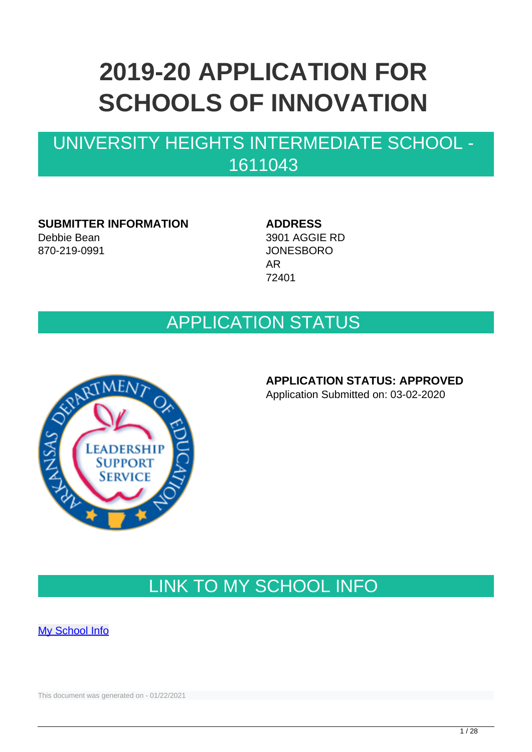# **2019-20 APPLICATION FOR SCHOOLS OF INNOVATION**

## UNIVERSITY HEIGHTS INTERMEDIATE SCHOOL - 1611043

**SUBMITTER INFORMATION** Debbie Bean 870-219-0991

**ADDRESS** 3901 AGGIE RD JONESBORO AR 72401

## APPLICATION STATUS



**APPLICATION STATUS: APPROVED**

Application Submitted on: 03-02-2020

## LINK TO MY SCHOOL INFO

[My School Info](https://myschoolinfo.arkansas.gov/Schools/Search?OperationContext=None&SearchFlag=School&Query=1611043)

This document was generated on - 01/22/2021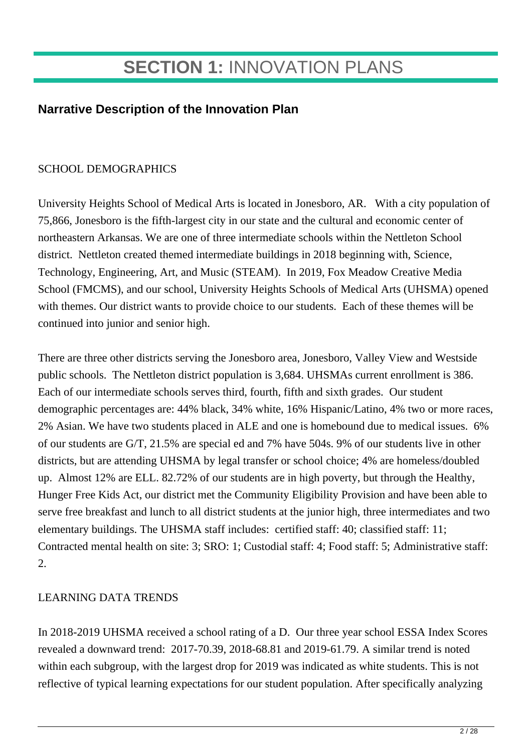## **SECTION 1:** INNOVATION PLANS

### **Narrative Description of the Innovation Plan**

#### SCHOOL DEMOGRAPHICS

University Heights School of Medical Arts is located in Jonesboro, AR. With a city population of 75,866, Jonesboro is the fifth-largest city in our state and the cultural and economic center of northeastern Arkansas. We are one of three intermediate schools within the Nettleton School district. Nettleton created themed intermediate buildings in 2018 beginning with, Science, Technology, Engineering, Art, and Music (STEAM). In 2019, Fox Meadow Creative Media School (FMCMS), and our school, University Heights Schools of Medical Arts (UHSMA) opened with themes. Our district wants to provide choice to our students. Each of these themes will be continued into junior and senior high.

There are three other districts serving the Jonesboro area, Jonesboro, Valley View and Westside public schools. The Nettleton district population is 3,684. UHSMAs current enrollment is 386. Each of our intermediate schools serves third, fourth, fifth and sixth grades. Our student demographic percentages are: 44% black, 34% white, 16% Hispanic/Latino, 4% two or more races, 2% Asian. We have two students placed in ALE and one is homebound due to medical issues. 6% of our students are G/T, 21.5% are special ed and 7% have 504s. 9% of our students live in other districts, but are attending UHSMA by legal transfer or school choice; 4% are homeless/doubled up. Almost 12% are ELL. 82.72% of our students are in high poverty, but through the Healthy, Hunger Free Kids Act, our district met the Community Eligibility Provision and have been able to serve free breakfast and lunch to all district students at the junior high, three intermediates and two elementary buildings. The UHSMA staff includes: certified staff: 40; classified staff: 11; Contracted mental health on site: 3; SRO: 1; Custodial staff: 4; Food staff: 5; Administrative staff:  $2<sub>1</sub>$ 

#### LEARNING DATA TRENDS

In 2018-2019 UHSMA received a school rating of a D. Our three year school ESSA Index Scores revealed a downward trend: 2017-70.39, 2018-68.81 and 2019-61.79. A similar trend is noted within each subgroup, with the largest drop for 2019 was indicated as white students. This is not reflective of typical learning expectations for our student population. After specifically analyzing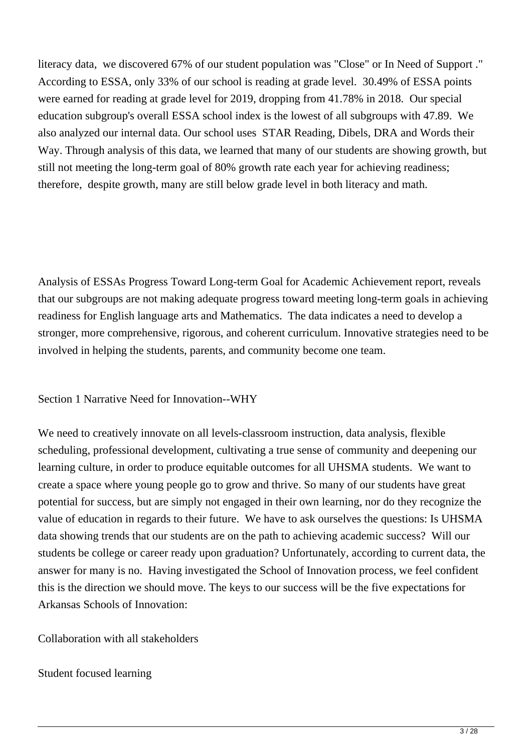literacy data, we discovered 67% of our student population was "Close" or In Need of Support ." According to ESSA, only 33% of our school is reading at grade level. 30.49% of ESSA points were earned for reading at grade level for 2019, dropping from 41.78% in 2018. Our special education subgroup's overall ESSA school index is the lowest of all subgroups with 47.89. We also analyzed our internal data. Our school uses STAR Reading, Dibels, DRA and Words their Way. Through analysis of this data, we learned that many of our students are showing growth, but still not meeting the long-term goal of 80% growth rate each year for achieving readiness; therefore, despite growth, many are still below grade level in both literacy and math.

Analysis of ESSAs Progress Toward Long-term Goal for Academic Achievement report, reveals that our subgroups are not making adequate progress toward meeting long-term goals in achieving readiness for English language arts and Mathematics. The data indicates a need to develop a stronger, more comprehensive, rigorous, and coherent curriculum. Innovative strategies need to be involved in helping the students, parents, and community become one team.

Section 1 Narrative Need for Innovation--WHY

We need to creatively innovate on all levels-classroom instruction, data analysis, flexible scheduling, professional development, cultivating a true sense of community and deepening our learning culture, in order to produce equitable outcomes for all UHSMA students. We want to create a space where young people go to grow and thrive. So many of our students have great potential for success, but are simply not engaged in their own learning, nor do they recognize the value of education in regards to their future. We have to ask ourselves the questions: Is UHSMA data showing trends that our students are on the path to achieving academic success? Will our students be college or career ready upon graduation? Unfortunately, according to current data, the answer for many is no. Having investigated the School of Innovation process, we feel confident this is the direction we should move. The keys to our success will be the five expectations for Arkansas Schools of Innovation:

Collaboration with all stakeholders

Student focused learning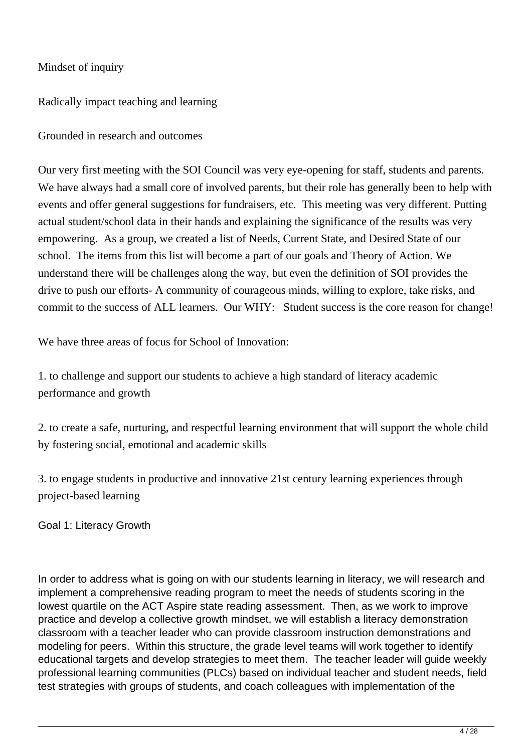#### Mindset of inquiry

Radically impact teaching and learning

Grounded in research and outcomes

Our very first meeting with the SOI Council was very eye-opening for staff, students and parents. We have always had a small core of involved parents, but their role has generally been to help with events and offer general suggestions for fundraisers, etc. This meeting was very different. Putting actual student/school data in their hands and explaining the significance of the results was very empowering. As a group, we created a list of Needs, Current State, and Desired State of our school. The items from this list will become a part of our goals and Theory of Action. We understand there will be challenges along the way, but even the definition of SOI provides the drive to push our efforts- A community of courageous minds, willing to explore, take risks, and commit to the success of ALL learners. Our WHY: Student success is the core reason for change!

We have three areas of focus for School of Innovation:

1. to challenge and support our students to achieve a high standard of literacy academic performance and growth

2. to create a safe, nurturing, and respectful learning environment that will support the whole child by fostering social, emotional and academic skills

3. to engage students in productive and innovative 21st century learning experiences through project-based learning

Goal 1: Literacy Growth

In order to address what is going on with our students learning in literacy, we will research and implement a comprehensive reading program to meet the needs of students scoring in the lowest quartile on the ACT Aspire state reading assessment. Then, as we work to improve practice and develop a collective growth mindset, we will establish a literacy demonstration classroom with a teacher leader who can provide classroom instruction demonstrations and modeling for peers. Within this structure, the grade level teams will work together to identify educational targets and develop strategies to meet them. The teacher leader will guide weekly professional learning communities (PLCs) based on individual teacher and student needs, field test strategies with groups of students, and coach colleagues with implementation of the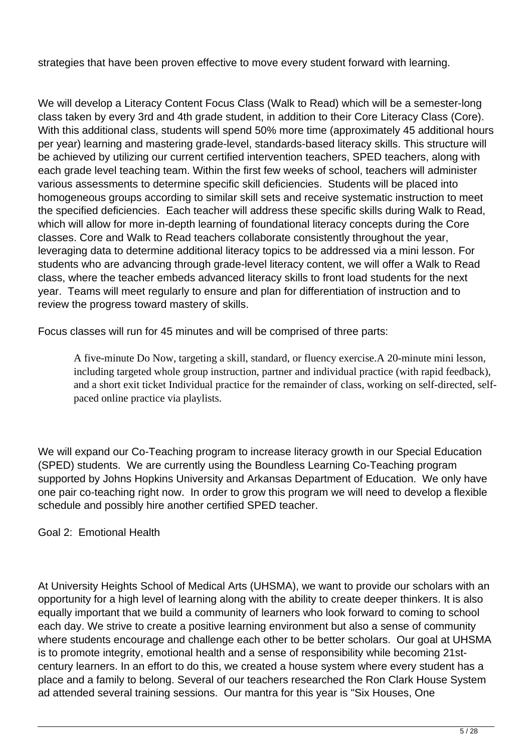strategies that have been proven effective to move every student forward with learning.

We will develop a Literacy Content Focus Class (Walk to Read) which will be a semester-long class taken by every 3rd and 4th grade student, in addition to their Core Literacy Class (Core). With this additional class, students will spend 50% more time (approximately 45 additional hours per year) learning and mastering grade-level, standards-based literacy skills. This structure will be achieved by utilizing our current certified intervention teachers, SPED teachers, along with each grade level teaching team. Within the first few weeks of school, teachers will administer various assessments to determine specific skill deficiencies. Students will be placed into homogeneous groups according to similar skill sets and receive systematic instruction to meet the specified deficiencies. Each teacher will address these specific skills during Walk to Read, which will allow for more in-depth learning of foundational literacy concepts during the Core classes. Core and Walk to Read teachers collaborate consistently throughout the year, leveraging data to determine additional literacy topics to be addressed via a mini lesson. For students who are advancing through grade-level literacy content, we will offer a Walk to Read class, where the teacher embeds advanced literacy skills to front load students for the next year. Teams will meet regularly to ensure and plan for differentiation of instruction and to review the progress toward mastery of skills.

Focus classes will run for 45 minutes and will be comprised of three parts:

A five-minute Do Now, targeting a skill, standard, or fluency exercise.A 20-minute mini lesson, including targeted whole group instruction, partner and individual practice (with rapid feedback), and a short exit ticket Individual practice for the remainder of class, working on self-directed, selfpaced online practice via playlists.

We will expand our Co-Teaching program to increase literacy growth in our Special Education (SPED) students. We are currently using the Boundless Learning Co-Teaching program supported by Johns Hopkins University and Arkansas Department of Education. We only have one pair co-teaching right now. In order to grow this program we will need to develop a flexible schedule and possibly hire another certified SPED teacher.

Goal 2: Emotional Health

At University Heights School of Medical Arts (UHSMA), we want to provide our scholars with an opportunity for a high level of learning along with the ability to create deeper thinkers. It is also equally important that we build a community of learners who look forward to coming to school each day. We strive to create a positive learning environment but also a sense of community where students encourage and challenge each other to be better scholars. Our goal at UHSMA is to promote integrity, emotional health and a sense of responsibility while becoming 21stcentury learners. In an effort to do this, we created a house system where every student has a place and a family to belong. Several of our teachers researched the Ron Clark House System ad attended several training sessions. Our mantra for this year is "Six Houses, One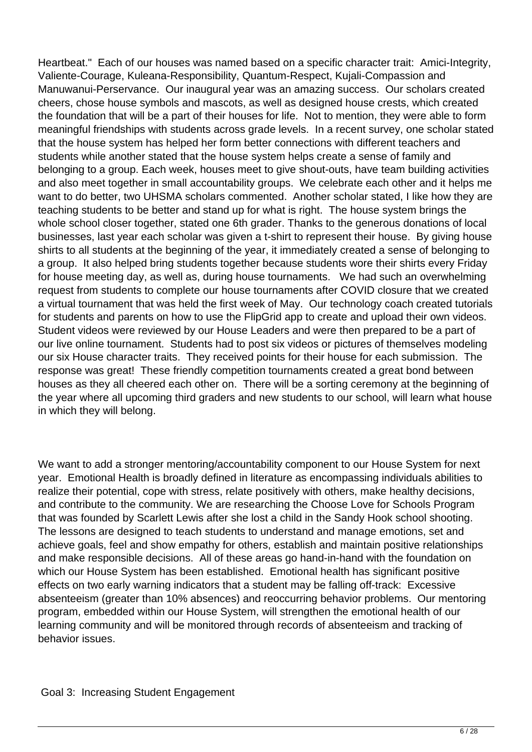Heartbeat." Each of our houses was named based on a specific character trait: Amici-Integrity, Valiente-Courage, Kuleana-Responsibility, Quantum-Respect, Kujali-Compassion and Manuwanui-Perservance. Our inaugural year was an amazing success. Our scholars created cheers, chose house symbols and mascots, as well as designed house crests, which created the foundation that will be a part of their houses for life. Not to mention, they were able to form meaningful friendships with students across grade levels. In a recent survey, one scholar stated that the house system has helped her form better connections with different teachers and students while another stated that the house system helps create a sense of family and belonging to a group. Each week, houses meet to give shout-outs, have team building activities and also meet together in small accountability groups. We celebrate each other and it helps me want to do better, two UHSMA scholars commented. Another scholar stated, I like how they are teaching students to be better and stand up for what is right. The house system brings the whole school closer together, stated one 6th grader. Thanks to the generous donations of local businesses, last year each scholar was given a t-shirt to represent their house. By giving house shirts to all students at the beginning of the year, it immediately created a sense of belonging to a group. It also helped bring students together because students wore their shirts every Friday for house meeting day, as well as, during house tournaments. We had such an overwhelming request from students to complete our house tournaments after COVID closure that we created a virtual tournament that was held the first week of May. Our technology coach created tutorials for students and parents on how to use the FlipGrid app to create and upload their own videos. Student videos were reviewed by our House Leaders and were then prepared to be a part of our live online tournament. Students had to post six videos or pictures of themselves modeling our six House character traits. They received points for their house for each submission. The response was great! These friendly competition tournaments created a great bond between houses as they all cheered each other on. There will be a sorting ceremony at the beginning of the year where all upcoming third graders and new students to our school, will learn what house in which they will belong.

We want to add a stronger mentoring/accountability component to our House System for next year. Emotional Health is broadly defined in literature as encompassing individuals abilities to realize their potential, cope with stress, relate positively with others, make healthy decisions, and contribute to the community. We are researching the Choose Love for Schools Program that was founded by Scarlett Lewis after she lost a child in the Sandy Hook school shooting. The lessons are designed to teach students to understand and manage emotions, set and achieve goals, feel and show empathy for others, establish and maintain positive relationships and make responsible decisions. All of these areas go hand-in-hand with the foundation on which our House System has been established. Emotional health has significant positive effects on two early warning indicators that a student may be falling off-track: Excessive absenteeism (greater than 10% absences) and reoccurring behavior problems. Our mentoring program, embedded within our House System, will strengthen the emotional health of our learning community and will be monitored through records of absenteeism and tracking of behavior issues.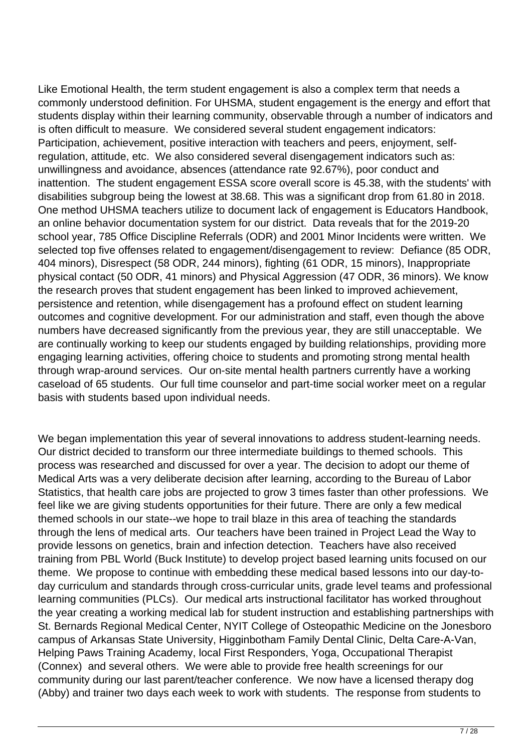Like Emotional Health, the term student engagement is also a complex term that needs a commonly understood definition. For UHSMA, student engagement is the energy and effort that students display within their learning community, observable through a number of indicators and is often difficult to measure. We considered several student engagement indicators: Participation, achievement, positive interaction with teachers and peers, enjoyment, selfregulation, attitude, etc. We also considered several disengagement indicators such as: unwillingness and avoidance, absences (attendance rate 92.67%), poor conduct and inattention. The student engagement ESSA score overall score is 45.38, with the students' with disabilities subgroup being the lowest at 38.68. This was a significant drop from 61.80 in 2018. One method UHSMA teachers utilize to document lack of engagement is Educators Handbook, an online behavior documentation system for our district. Data reveals that for the 2019-20 school year, 785 Office Discipline Referrals (ODR) and 2001 Minor Incidents were written. We selected top five offenses related to engagement/disengagement to review: Defiance (85 ODR, 404 minors), Disrespect (58 ODR, 244 minors), fighting (61 ODR, 15 minors), Inappropriate physical contact (50 ODR, 41 minors) and Physical Aggression (47 ODR, 36 minors). We know the research proves that student engagement has been linked to improved achievement, persistence and retention, while disengagement has a profound effect on student learning outcomes and cognitive development. For our administration and staff, even though the above numbers have decreased significantly from the previous year, they are still unacceptable. We are continually working to keep our students engaged by building relationships, providing more engaging learning activities, offering choice to students and promoting strong mental health through wrap-around services. Our on-site mental health partners currently have a working caseload of 65 students. Our full time counselor and part-time social worker meet on a regular basis with students based upon individual needs.

We began implementation this year of several innovations to address student-learning needs. Our district decided to transform our three intermediate buildings to themed schools. This process was researched and discussed for over a year. The decision to adopt our theme of Medical Arts was a very deliberate decision after learning, according to the Bureau of Labor Statistics, that health care jobs are projected to grow 3 times faster than other professions. We feel like we are giving students opportunities for their future. There are only a few medical themed schools in our state--we hope to trail blaze in this area of teaching the standards through the lens of medical arts. Our teachers have been trained in Project Lead the Way to provide lessons on genetics, brain and infection detection. Teachers have also received training from PBL World (Buck Institute) to develop project based learning units focused on our theme. We propose to continue with embedding these medical based lessons into our day-today curriculum and standards through cross-curricular units, grade level teams and professional learning communities (PLCs). Our medical arts instructional facilitator has worked throughout the year creating a working medical lab for student instruction and establishing partnerships with St. Bernards Regional Medical Center, NYIT College of Osteopathic Medicine on the Jonesboro campus of Arkansas State University, Higginbotham Family Dental Clinic, Delta Care-A-Van, Helping Paws Training Academy, local First Responders, Yoga, Occupational Therapist (Connex) and several others. We were able to provide free health screenings for our community during our last parent/teacher conference. We now have a licensed therapy dog (Abby) and trainer two days each week to work with students. The response from students to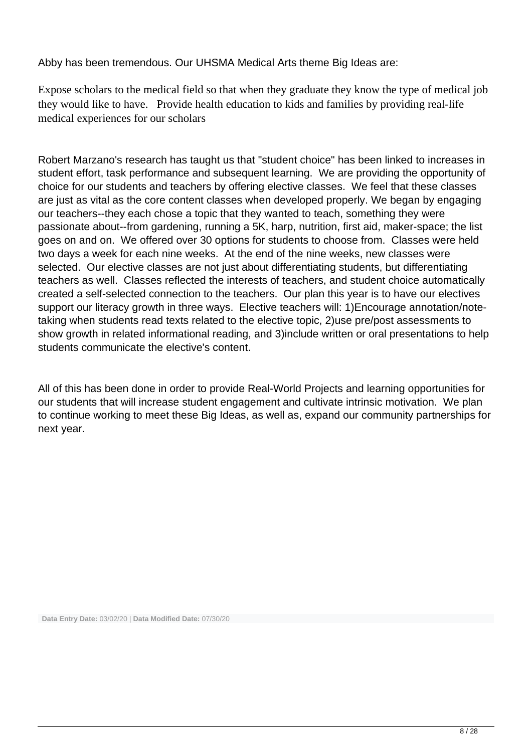Abby has been tremendous. Our UHSMA Medical Arts theme Big Ideas are:

Expose scholars to the medical field so that when they graduate they know the type of medical job they would like to have. Provide health education to kids and families by providing real-life medical experiences for our scholars

Robert Marzano's research has taught us that "student choice" has been linked to increases in student effort, task performance and subsequent learning. We are providing the opportunity of choice for our students and teachers by offering elective classes. We feel that these classes are just as vital as the core content classes when developed properly. We began by engaging our teachers--they each chose a topic that they wanted to teach, something they were passionate about--from gardening, running a 5K, harp, nutrition, first aid, maker-space; the list goes on and on. We offered over 30 options for students to choose from. Classes were held two days a week for each nine weeks. At the end of the nine weeks, new classes were selected. Our elective classes are not just about differentiating students, but differentiating teachers as well. Classes reflected the interests of teachers, and student choice automatically created a self-selected connection to the teachers. Our plan this year is to have our electives support our literacy growth in three ways. Elective teachers will: 1)Encourage annotation/notetaking when students read texts related to the elective topic, 2)use pre/post assessments to show growth in related informational reading, and 3)include written or oral presentations to help students communicate the elective's content.

All of this has been done in order to provide Real-World Projects and learning opportunities for our students that will increase student engagement and cultivate intrinsic motivation. We plan to continue working to meet these Big Ideas, as well as, expand our community partnerships for next year.

**Data Entry Date:** 03/02/20 | **Data Modified Date:** 07/30/20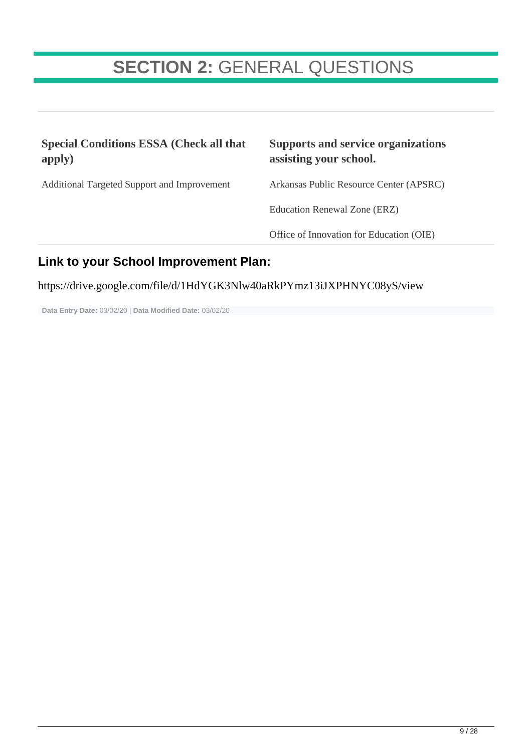## **SECTION 2:** GENERAL QUESTIONS

| <b>Special Conditions ESSA (Check all that</b><br>apply) | <b>Supports and service organizations</b><br>assisting your school. |
|----------------------------------------------------------|---------------------------------------------------------------------|
| Additional Targeted Support and Improvement              | Arkansas Public Resource Center (APSRC)                             |
|                                                          | Education Renewal Zone (ERZ)                                        |
|                                                          | Office of Innovation for Education (OIE)                            |
| Lielcte vans Celese Leonsenzenaart Diese                 |                                                                     |

## **Link to your School Improvement Plan:**

https://drive.google.com/file/d/1HdYGK3Nlw40aRkPYmz13iJXPHNYC08yS/view

**Data Entry Date:** 03/02/20 | **Data Modified Date:** 03/02/20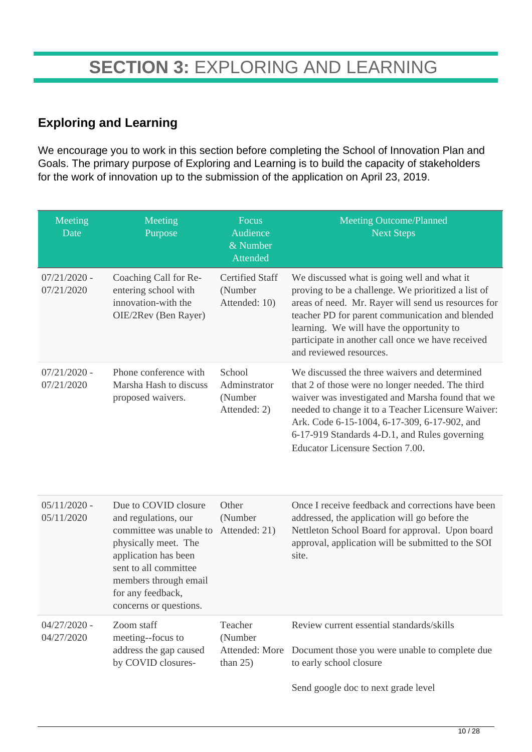### **Exploring and Learning**

We encourage you to work in this section before completing the School of Innovation Plan and Goals. The primary purpose of Exploring and Learning is to build the capacity of stakeholders for the work of innovation up to the submission of the application on April 23, 2019.

| Meeting<br>Date              | Meeting<br>Purpose                                                                                                                                                                                                       | Focus<br>Audience<br>& Number<br>Attended           | <b>Meeting Outcome/Planned</b><br><b>Next Steps</b>                                                                                                                                                                                                                                                                                              |
|------------------------------|--------------------------------------------------------------------------------------------------------------------------------------------------------------------------------------------------------------------------|-----------------------------------------------------|--------------------------------------------------------------------------------------------------------------------------------------------------------------------------------------------------------------------------------------------------------------------------------------------------------------------------------------------------|
| $07/21/2020$ -<br>07/21/2020 | Coaching Call for Re-<br>entering school with<br>innovation-with the<br>OIE/2Rev (Ben Rayer)                                                                                                                             | <b>Certified Staff</b><br>(Number<br>Attended: 10)  | We discussed what is going well and what it<br>proving to be a challenge. We prioritized a list of<br>areas of need. Mr. Rayer will send us resources for<br>teacher PD for parent communication and blended<br>learning. We will have the opportunity to<br>participate in another call once we have received<br>and reviewed resources.        |
| $07/21/2020$ -<br>07/21/2020 | Phone conference with<br>Marsha Hash to discuss<br>proposed waivers.                                                                                                                                                     | School<br>Adminstrator<br>(Number<br>Attended: 2)   | We discussed the three waivers and determined<br>that 2 of those were no longer needed. The third<br>waiver was investigated and Marsha found that we<br>needed to change it to a Teacher Licensure Waiver:<br>Ark. Code 6-15-1004, 6-17-309, 6-17-902, and<br>6-17-919 Standards 4-D.1, and Rules governing<br>Educator Licensure Section 7.00. |
| $05/11/2020$ -<br>05/11/2020 | Due to COVID closure<br>and regulations, our<br>committee was unable to<br>physically meet. The<br>application has been<br>sent to all committee<br>members through email<br>for any feedback,<br>concerns or questions. | Other<br>(Number<br>Attended: 21)                   | Once I receive feedback and corrections have been<br>addressed, the application will go before the<br>Nettleton School Board for approval. Upon board<br>approval, application will be submitted to the SOI<br>site.                                                                                                                             |
| $04/27/2020$ -<br>04/27/2020 | Zoom staff<br>meeting--focus to<br>address the gap caused<br>by COVID closures-                                                                                                                                          | Teacher<br>(Number<br>Attended: More<br>than $25$ ) | Review current essential standards/skills<br>Document those you were unable to complete due<br>to early school closure<br>Send google doc to next grade level                                                                                                                                                                                    |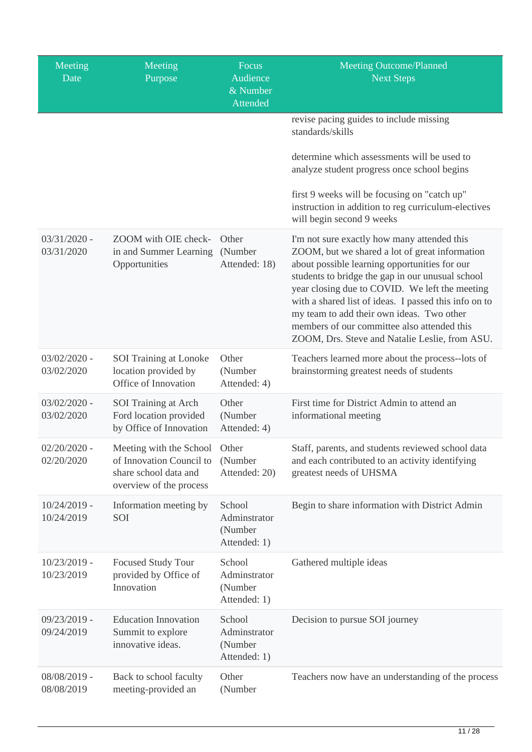| Meeting<br>Date              | Meeting<br>Purpose                                                                                      | Focus<br>Audience<br>$\overline{\&}$ Number<br><b>Attended</b> | <b>Meeting Outcome/Planned</b><br><b>Next Steps</b>                                                                                                                                                                                                                                                                                                                                                                                                         |
|------------------------------|---------------------------------------------------------------------------------------------------------|----------------------------------------------------------------|-------------------------------------------------------------------------------------------------------------------------------------------------------------------------------------------------------------------------------------------------------------------------------------------------------------------------------------------------------------------------------------------------------------------------------------------------------------|
|                              |                                                                                                         |                                                                | revise pacing guides to include missing<br>standards/skills                                                                                                                                                                                                                                                                                                                                                                                                 |
|                              |                                                                                                         |                                                                | determine which assessments will be used to<br>analyze student progress once school begins                                                                                                                                                                                                                                                                                                                                                                  |
|                              |                                                                                                         |                                                                | first 9 weeks will be focusing on "catch up"<br>instruction in addition to reg curriculum-electives<br>will begin second 9 weeks                                                                                                                                                                                                                                                                                                                            |
| $03/31/2020$ -<br>03/31/2020 | ZOOM with OIE check-<br>in and Summer Learning<br>Opportunities                                         | Other<br>(Number<br>Attended: 18)                              | I'm not sure exactly how many attended this<br>ZOOM, but we shared a lot of great information<br>about possible learning opportunities for our<br>students to bridge the gap in our unusual school<br>year closing due to COVID. We left the meeting<br>with a shared list of ideas. I passed this info on to<br>my team to add their own ideas. Two other<br>members of our committee also attended this<br>ZOOM, Drs. Steve and Natalie Leslie, from ASU. |
| $03/02/2020$ -<br>03/02/2020 | SOI Training at Lonoke<br>location provided by<br>Office of Innovation                                  | Other<br>(Number<br>Attended: 4)                               | Teachers learned more about the process--lots of<br>brainstorming greatest needs of students                                                                                                                                                                                                                                                                                                                                                                |
| $03/02/2020$ -<br>03/02/2020 | SOI Training at Arch<br>Ford location provided<br>by Office of Innovation                               | Other<br>(Number<br>Attended: 4)                               | First time for District Admin to attend an<br>informational meeting                                                                                                                                                                                                                                                                                                                                                                                         |
| $02/20/2020$ -<br>02/20/2020 | Meeting with the School<br>of Innovation Council to<br>share school data and<br>overview of the process | Other<br>(Number<br>Attended: 20)                              | Staff, parents, and students reviewed school data<br>and each contributed to an activity identifying<br>greatest needs of UHSMA                                                                                                                                                                                                                                                                                                                             |
| $10/24/2019$ -<br>10/24/2019 | Information meeting by<br>SOI                                                                           | School<br>Adminstrator<br>(Number<br>Attended: 1)              | Begin to share information with District Admin                                                                                                                                                                                                                                                                                                                                                                                                              |
| 10/23/2019 -<br>10/23/2019   | <b>Focused Study Tour</b><br>provided by Office of<br>Innovation                                        | School<br>Adminstrator<br>(Number<br>Attended: 1)              | Gathered multiple ideas                                                                                                                                                                                                                                                                                                                                                                                                                                     |
| $09/23/2019$ -<br>09/24/2019 | <b>Education Innovation</b><br>Summit to explore<br>innovative ideas.                                   | School<br>Adminstrator<br>(Number<br>Attended: 1)              | Decision to pursue SOI journey                                                                                                                                                                                                                                                                                                                                                                                                                              |
| 08/08/2019 -<br>08/08/2019   | Back to school faculty<br>meeting-provided an                                                           | Other<br>(Number                                               | Teachers now have an understanding of the process                                                                                                                                                                                                                                                                                                                                                                                                           |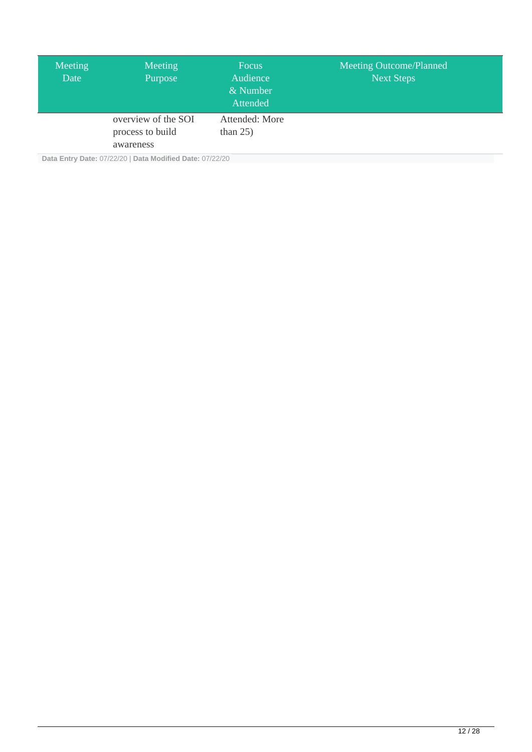| Meeting<br>Date | Meeting<br>Purpose                                   | <b>Focus</b><br>Audience<br>& Number<br>Attended | <b>Meeting Outcome/Planned</b><br><b>Next Steps</b> |
|-----------------|------------------------------------------------------|--------------------------------------------------|-----------------------------------------------------|
|                 | overview of the SOI<br>process to build<br>awareness | Attended: More<br>than $25$ )                    |                                                     |

**Data Entry Date:** 07/22/20 | **Data Modified Date:** 07/22/20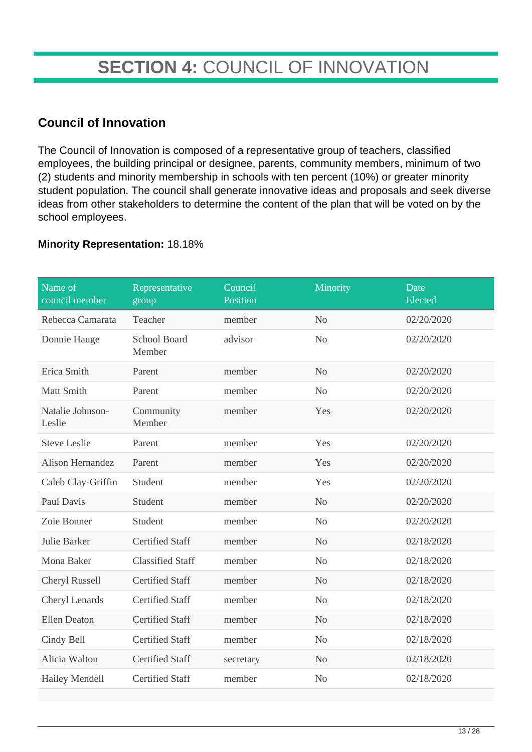## **SECTION 4:** COUNCIL OF INNOVATION

### **Council of Innovation**

The Council of Innovation is composed of a representative group of teachers, classified employees, the building principal or designee, parents, community members, minimum of two (2) students and minority membership in schools with ten percent (10%) or greater minority student population. The council shall generate innovative ideas and proposals and seek diverse ideas from other stakeholders to determine the content of the plan that will be voted on by the school employees.

#### **Minority Representation:** 18.18%

| Name of<br>council member  | Representative<br>group       | Council<br>Position | Minority       | Date<br>Elected |
|----------------------------|-------------------------------|---------------------|----------------|-----------------|
| Rebecca Camarata           | Teacher                       | member              | N <sub>o</sub> | 02/20/2020      |
| Donnie Hauge               | <b>School Board</b><br>Member | advisor             | N <sub>o</sub> | 02/20/2020      |
| Erica Smith                | Parent                        | member              | N <sub>o</sub> | 02/20/2020      |
| Matt Smith                 | Parent                        | member              | N <sub>o</sub> | 02/20/2020      |
| Natalie Johnson-<br>Leslie | Community<br>Member           | member              | Yes            | 02/20/2020      |
| <b>Steve Leslie</b>        | Parent                        | member              | Yes            | 02/20/2020      |
| Alison Hernandez           | Parent                        | member              | Yes            | 02/20/2020      |
| Caleb Clay-Griffin         | Student                       | member              | Yes            | 02/20/2020      |
| Paul Davis                 | Student                       | member              | N <sub>o</sub> | 02/20/2020      |
| Zoie Bonner                | Student                       | member              | N <sub>o</sub> | 02/20/2020      |
| Julie Barker               | <b>Certified Staff</b>        | member              | N <sub>o</sub> | 02/18/2020      |
| Mona Baker                 | <b>Classified Staff</b>       | member              | N <sub>o</sub> | 02/18/2020      |
| Cheryl Russell             | <b>Certified Staff</b>        | member              | N <sub>o</sub> | 02/18/2020      |
| Cheryl Lenards             | <b>Certified Staff</b>        | member              | N <sub>o</sub> | 02/18/2020      |
| <b>Ellen Deaton</b>        | <b>Certified Staff</b>        | member              | N <sub>o</sub> | 02/18/2020      |
| Cindy Bell                 | <b>Certified Staff</b>        | member              | No             | 02/18/2020      |
| Alicia Walton              | <b>Certified Staff</b>        | secretary           | N <sub>o</sub> | 02/18/2020      |
| <b>Hailey Mendell</b>      | <b>Certified Staff</b>        | member              | N <sub>o</sub> | 02/18/2020      |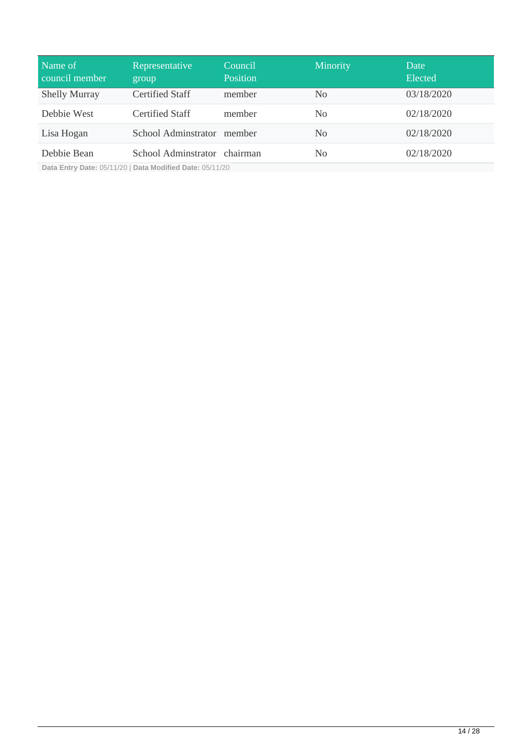| Name of<br>council member | Representative<br>group      | Council<br>Position | <b>Minority</b> | Date<br>Elected |
|---------------------------|------------------------------|---------------------|-----------------|-----------------|
| <b>Shelly Murray</b>      | <b>Certified Staff</b>       | member              | N <sub>0</sub>  | 03/18/2020      |
| Debbie West               | <b>Certified Staff</b>       | member              | N <sub>0</sub>  | 02/18/2020      |
| Lisa Hogan                | School Adminstrator member   |                     | N <sub>0</sub>  | 02/18/2020      |
| Debbie Bean               | School Adminstrator chairman |                     | N <sub>0</sub>  | 02/18/2020      |

**Data Entry Date:** 05/11/20 | **Data Modified Date:** 05/11/20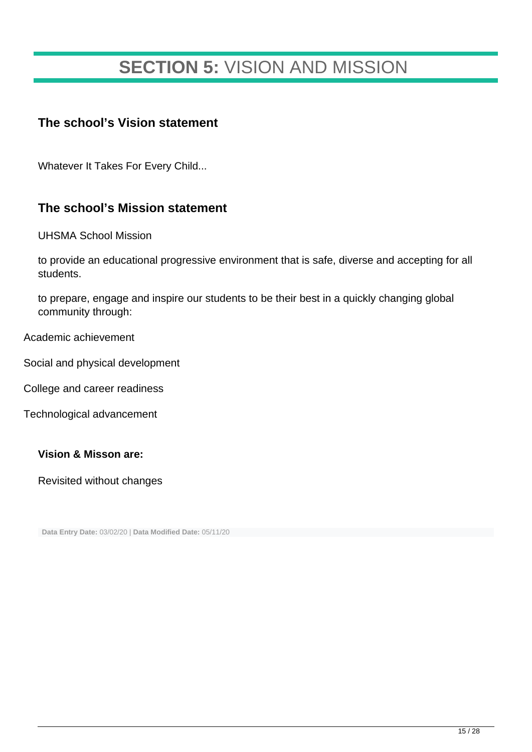## **SECTION 5:** VISION AND MISSION

### **The school's Vision statement**

Whatever It Takes For Every Child...

### **The school's Mission statement**

UHSMA School Mission

to provide an educational progressive environment that is safe, diverse and accepting for all students.

to prepare, engage and inspire our students to be their best in a quickly changing global community through:

Academic achievement

Social and physical development

College and career readiness

Technological advancement

#### **Vision & Misson are:**

Revisited without changes

**Data Entry Date:** 03/02/20 | **Data Modified Date:** 05/11/20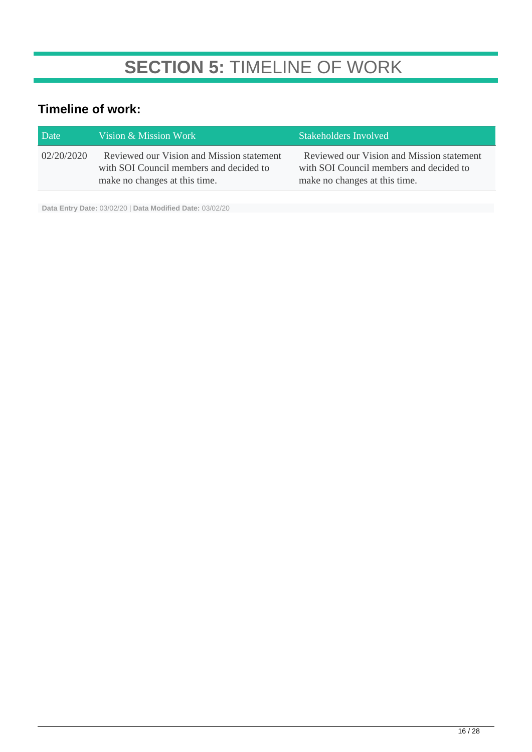## **SECTION 5:** TIMELINE OF WORK

## **Timeline of work:**

| Date       | Vision & Mission Work                                                                                                 | Stakeholders Involved                                                                                                 |
|------------|-----------------------------------------------------------------------------------------------------------------------|-----------------------------------------------------------------------------------------------------------------------|
| 02/20/2020 | Reviewed our Vision and Mission statement<br>with SOI Council members and decided to<br>make no changes at this time. | Reviewed our Vision and Mission statement<br>with SOI Council members and decided to<br>make no changes at this time. |

**Data Entry Date:** 03/02/20 | **Data Modified Date:** 03/02/20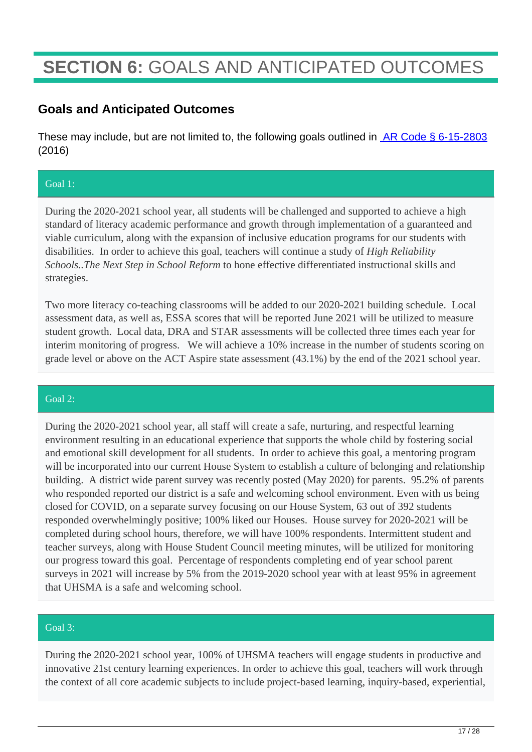## **SECTION 6:** GOALS AND ANTICIPATED OUTCOMES

### **Goals and Anticipated Outcomes**

These may include, but are not limited to, the following goals outlined in **AR Code § 6-15-2803** (2016)

#### Goal 1:

During the 2020-2021 school year, all students will be challenged and supported to achieve a high standard of literacy academic performance and growth through implementation of a guaranteed and viable curriculum, along with the expansion of inclusive education programs for our students with disabilities. In order to achieve this goal, teachers will continue a study of *High Reliability Schools..The Next Step in School Reform* to hone effective differentiated instructional skills and strategies.

Two more literacy co-teaching classrooms will be added to our 2020-2021 building schedule. Local assessment data, as well as, ESSA scores that will be reported June 2021 will be utilized to measure student growth. Local data, DRA and STAR assessments will be collected three times each year for interim monitoring of progress. We will achieve a 10% increase in the number of students scoring on grade level or above on the ACT Aspire state assessment (43.1%) by the end of the 2021 school year.

#### Goal  $2^{\mathcal{P}}$

During the 2020-2021 school year, all staff will create a safe, nurturing, and respectful learning environment resulting in an educational experience that supports the whole child by fostering social and emotional skill development for all students. In order to achieve this goal, a mentoring program will be incorporated into our current House System to establish a culture of belonging and relationship building. A district wide parent survey was recently posted (May 2020) for parents. 95.2% of parents who responded reported our district is a safe and welcoming school environment. Even with us being closed for COVID, on a separate survey focusing on our House System, 63 out of 392 students responded overwhelmingly positive; 100% liked our Houses. House survey for 2020-2021 will be completed during school hours, therefore, we will have 100% respondents. Intermittent student and teacher surveys, along with House Student Council meeting minutes, will be utilized for monitoring our progress toward this goal. Percentage of respondents completing end of year school parent surveys in 2021 will increase by 5% from the 2019-2020 school year with at least 95% in agreement that UHSMA is a safe and welcoming school.

#### Goal 3:

During the 2020-2021 school year, 100% of UHSMA teachers will engage students in productive and innovative 21st century learning experiences. In order to achieve this goal, teachers will work through the context of all core academic subjects to include project-based learning, inquiry-based, experiential,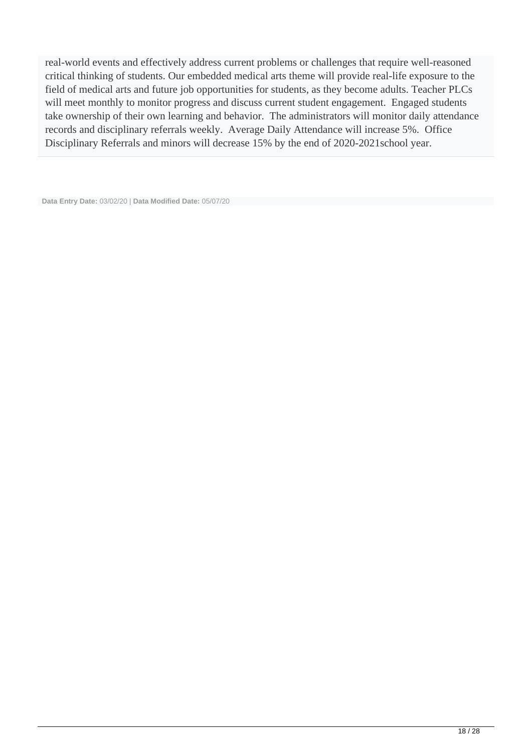real-world events and effectively address current problems or challenges that require well-reasoned critical thinking of students. Our embedded medical arts theme will provide real-life exposure to the field of medical arts and future job opportunities for students, as they become adults. Teacher PLCs will meet monthly to monitor progress and discuss current student engagement. Engaged students take ownership of their own learning and behavior. The administrators will monitor daily attendance records and disciplinary referrals weekly. Average Daily Attendance will increase 5%. Office Disciplinary Referrals and minors will decrease 15% by the end of 2020-2021school year.

**Data Entry Date:** 03/02/20 | **Data Modified Date:** 05/07/20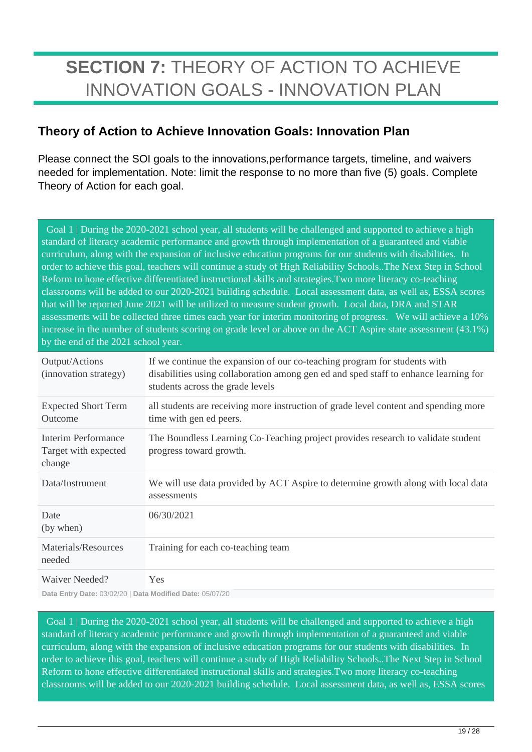## **SECTION 7:** THEORY OF ACTION TO ACHIEVE INNOVATION GOALS - INNOVATION PLAN

### **Theory of Action to Achieve Innovation Goals: Innovation Plan**

Please connect the SOI goals to the innovations,performance targets, timeline, and waivers needed for implementation. Note: limit the response to no more than five (5) goals. Complete Theory of Action for each goal.

 Goal 1 | During the 2020-2021 school year, all students will be challenged and supported to achieve a high standard of literacy academic performance and growth through implementation of a guaranteed and viable curriculum, along with the expansion of inclusive education programs for our students with disabilities. In order to achieve this goal, teachers will continue a study of High Reliability Schools..The Next Step in School Reform to hone effective differentiated instructional skills and strategies.Two more literacy co-teaching classrooms will be added to our 2020-2021 building schedule. Local assessment data, as well as, ESSA scores that will be reported June 2021 will be utilized to measure student growth. Local data, DRA and STAR assessments will be collected three times each year for interim monitoring of progress. We will achieve a 10% increase in the number of students scoring on grade level or above on the ACT Aspire state assessment (43.1%) by the end of the 2021 school year.

| Output/Actions<br>(innovation strategy)               | If we continue the expansion of our co-teaching program for students with<br>disabilities using collaboration among gen ed and sped staff to enhance learning for<br>students across the grade levels |
|-------------------------------------------------------|-------------------------------------------------------------------------------------------------------------------------------------------------------------------------------------------------------|
| <b>Expected Short Term</b><br>Outcome                 | all students are receiving more instruction of grade level content and spending more<br>time with gen ed peers.                                                                                       |
| Interim Performance<br>Target with expected<br>change | The Boundless Learning Co-Teaching project provides research to validate student<br>progress toward growth.                                                                                           |
| Data/Instrument                                       | We will use data provided by ACT Aspire to determine growth along with local data<br>assessments                                                                                                      |
| Date<br>(by when)                                     | 06/30/2021                                                                                                                                                                                            |
| Materials/Resources<br>needed                         | Training for each co-teaching team                                                                                                                                                                    |
| Waiver Needed?                                        | Yes                                                                                                                                                                                                   |

**Data Entry Date:** 03/02/20 | **Data Modified Date:** 05/07/20

 Goal 1 | During the 2020-2021 school year, all students will be challenged and supported to achieve a high standard of literacy academic performance and growth through implementation of a guaranteed and viable curriculum, along with the expansion of inclusive education programs for our students with disabilities. In order to achieve this goal, teachers will continue a study of High Reliability Schools..The Next Step in School Reform to hone effective differentiated instructional skills and strategies.Two more literacy co-teaching classrooms will be added to our 2020-2021 building schedule. Local assessment data, as well as, ESSA scores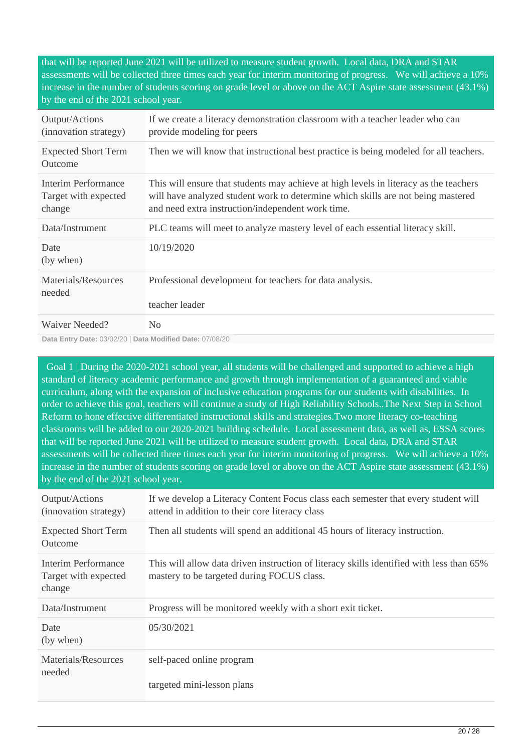that will be reported June 2021 will be utilized to measure student growth. Local data, DRA and STAR assessments will be collected three times each year for interim monitoring of progress. We will achieve a 10% increase in the number of students scoring on grade level or above on the ACT Aspire state assessment (43.1%) by the end of the 2021 school year.

| Output/Actions<br>(innovation strategy)               | If we create a literacy demonstration classroom with a teacher leader who can<br>provide modeling for peers                                                                                                                    |
|-------------------------------------------------------|--------------------------------------------------------------------------------------------------------------------------------------------------------------------------------------------------------------------------------|
| <b>Expected Short Term</b><br>Outcome                 | Then we will know that instructional best practice is being modeled for all teachers.                                                                                                                                          |
| Interim Performance<br>Target with expected<br>change | This will ensure that students may achieve at high levels in literacy as the teachers<br>will have analyzed student work to determine which skills are not being mastered<br>and need extra instruction/independent work time. |
| Data/Instrument                                       | PLC teams will meet to analyze mastery level of each essential literacy skill.                                                                                                                                                 |
| Date<br>(by when)                                     | 10/19/2020                                                                                                                                                                                                                     |
| Materials/Resources<br>needed                         | Professional development for teachers for data analysis.<br>teacher leader                                                                                                                                                     |
| Waiver Needed?                                        | No                                                                                                                                                                                                                             |

**Data Entry Date:** 03/02/20 | **Data Modified Date:** 07/08/20

 Goal 1 | During the 2020-2021 school year, all students will be challenged and supported to achieve a high standard of literacy academic performance and growth through implementation of a guaranteed and viable curriculum, along with the expansion of inclusive education programs for our students with disabilities. In order to achieve this goal, teachers will continue a study of High Reliability Schools..The Next Step in School Reform to hone effective differentiated instructional skills and strategies.Two more literacy co-teaching classrooms will be added to our 2020-2021 building schedule. Local assessment data, as well as, ESSA scores that will be reported June 2021 will be utilized to measure student growth. Local data, DRA and STAR assessments will be collected three times each year for interim monitoring of progress. We will achieve a 10% increase in the number of students scoring on grade level or above on the ACT Aspire state assessment (43.1%) by the end of the 2021 school year.

| Output/Actions<br>(innovation strategy)               | If we develop a Literacy Content Focus class each semester that every student will<br>attend in addition to their core literacy class  |
|-------------------------------------------------------|----------------------------------------------------------------------------------------------------------------------------------------|
| <b>Expected Short Term</b><br>Outcome                 | Then all students will spend an additional 45 hours of literacy instruction.                                                           |
| Interim Performance<br>Target with expected<br>change | This will allow data driven instruction of literacy skills identified with less than 65%<br>mastery to be targeted during FOCUS class. |
| Data/Instrument                                       | Progress will be monitored weekly with a short exit ticket.                                                                            |
| Date<br>(by when)                                     | 05/30/2021                                                                                                                             |
| Materials/Resources                                   | self-paced online program                                                                                                              |
| needed                                                | targeted mini-lesson plans                                                                                                             |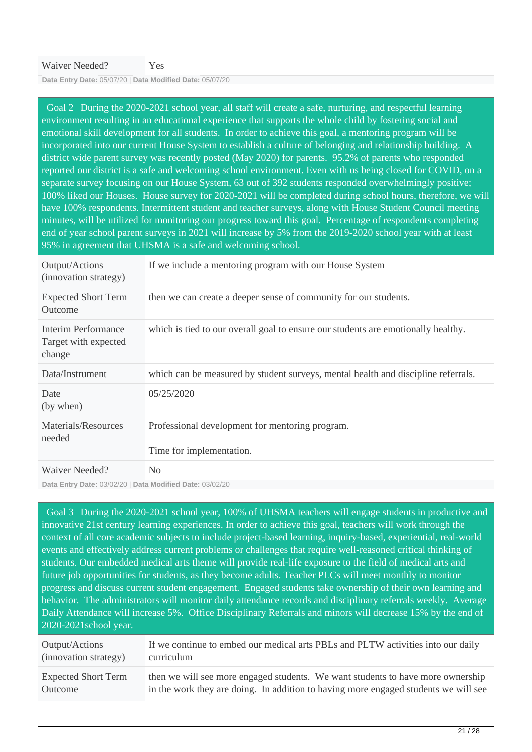**Data Entry Date:** 05/07/20 | **Data Modified Date:** 05/07/20

 Goal 2 | During the 2020-2021 school year, all staff will create a safe, nurturing, and respectful learning environment resulting in an educational experience that supports the whole child by fostering social and emotional skill development for all students. In order to achieve this goal, a mentoring program will be incorporated into our current House System to establish a culture of belonging and relationship building. A district wide parent survey was recently posted (May 2020) for parents. 95.2% of parents who responded reported our district is a safe and welcoming school environment. Even with us being closed for COVID, on a separate survey focusing on our House System, 63 out of 392 students responded overwhelmingly positive; 100% liked our Houses. House survey for 2020-2021 will be completed during school hours, therefore, we will have 100% respondents. Intermittent student and teacher surveys, along with House Student Council meeting minutes, will be utilized for monitoring our progress toward this goal. Percentage of respondents completing end of year school parent surveys in 2021 will increase by 5% from the 2019-2020 school year with at least 95% in agreement that UHSMA is a safe and welcoming school.

| Output/Actions<br>(innovation strategy)                      | If we include a mentoring program with our House System                           |
|--------------------------------------------------------------|-----------------------------------------------------------------------------------|
| <b>Expected Short Term</b><br>Outcome                        | then we can create a deeper sense of community for our students.                  |
| <b>Interim Performance</b><br>Target with expected<br>change | which is tied to our overall goal to ensure our students are emotionally healthy. |
| Data/Instrument                                              | which can be measured by student surveys, mental health and discipline referrals. |
| Date<br>(by when)                                            | 05/25/2020                                                                        |
| Materials/Resources<br>needed                                | Professional development for mentoring program.<br>Time for implementation.       |
| Waiver Needed?                                               | N <sub>0</sub>                                                                    |

**Data Entry Date:** 03/02/20 | **Data Modified Date:** 03/02/20

 Goal 3 | During the 2020-2021 school year, 100% of UHSMA teachers will engage students in productive and innovative 21st century learning experiences. In order to achieve this goal, teachers will work through the context of all core academic subjects to include project-based learning, inquiry-based, experiential, real-world events and effectively address current problems or challenges that require well-reasoned critical thinking of students. Our embedded medical arts theme will provide real-life exposure to the field of medical arts and future job opportunities for students, as they become adults. Teacher PLCs will meet monthly to monitor progress and discuss current student engagement. Engaged students take ownership of their own learning and behavior. The administrators will monitor daily attendance records and disciplinary referrals weekly. Average Daily Attendance will increase 5%. Office Disciplinary Referrals and minors will decrease 15% by the end of 2020-2021school year.

| Output/Actions             | If we continue to embed our medical arts PBLs and PLTW activities into our daily    |
|----------------------------|-------------------------------------------------------------------------------------|
| (innovation strategy)      | curriculum                                                                          |
| <b>Expected Short Term</b> | then we will see more engaged students. We want students to have more ownership     |
| Outcome                    | in the work they are doing. In addition to having more engaged students we will see |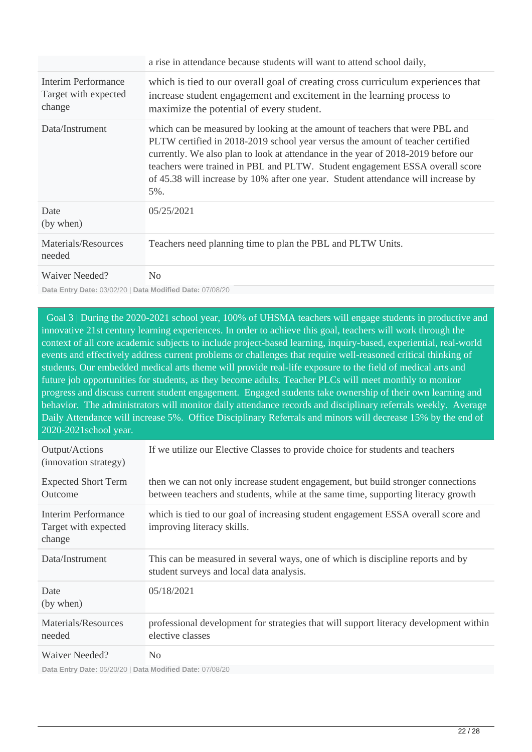|                                                       | a rise in attendance because students will want to attend school daily,                                                                                                                                                                                                                                                                                                                                                             |
|-------------------------------------------------------|-------------------------------------------------------------------------------------------------------------------------------------------------------------------------------------------------------------------------------------------------------------------------------------------------------------------------------------------------------------------------------------------------------------------------------------|
| Interim Performance<br>Target with expected<br>change | which is tied to our overall goal of creating cross curriculum experiences that<br>increase student engagement and excitement in the learning process to<br>maximize the potential of every student.                                                                                                                                                                                                                                |
| Data/Instrument                                       | which can be measured by looking at the amount of teachers that were PBL and<br>PLTW certified in 2018-2019 school year versus the amount of teacher certified<br>currently. We also plan to look at attendance in the year of 2018-2019 before our<br>teachers were trained in PBL and PLTW. Student engagement ESSA overall score<br>of 45.38 will increase by 10% after one year. Student attendance will increase by<br>$5\%$ . |
| Date<br>(by when)                                     | 05/25/2021                                                                                                                                                                                                                                                                                                                                                                                                                          |
| Materials/Resources<br>needed                         | Teachers need planning time to plan the PBL and PLTW Units.                                                                                                                                                                                                                                                                                                                                                                         |
| Waiver Needed?                                        | N <sub>0</sub>                                                                                                                                                                                                                                                                                                                                                                                                                      |

**Data Entry Date:** 03/02/20 | **Data Modified Date:** 07/08/20

 Goal 3 | During the 2020-2021 school year, 100% of UHSMA teachers will engage students in productive and innovative 21st century learning experiences. In order to achieve this goal, teachers will work through the context of all core academic subjects to include project-based learning, inquiry-based, experiential, real-world events and effectively address current problems or challenges that require well-reasoned critical thinking of students. Our embedded medical arts theme will provide real-life exposure to the field of medical arts and future job opportunities for students, as they become adults. Teacher PLCs will meet monthly to monitor progress and discuss current student engagement. Engaged students take ownership of their own learning and behavior. The administrators will monitor daily attendance records and disciplinary referrals weekly. Average Daily Attendance will increase 5%. Office Disciplinary Referrals and minors will decrease 15% by the end of 2020-2021school year.

| Output/Actions<br>(innovation strategy)               | If we utilize our Elective Classes to provide choice for students and teachers                                                                                        |
|-------------------------------------------------------|-----------------------------------------------------------------------------------------------------------------------------------------------------------------------|
| <b>Expected Short Term</b><br>Outcome                 | then we can not only increase student engagement, but build stronger connections<br>between teachers and students, while at the same time, supporting literacy growth |
| Interim Performance<br>Target with expected<br>change | which is tied to our goal of increasing student engagement ESSA overall score and<br>improving literacy skills.                                                       |
| Data/Instrument                                       | This can be measured in several ways, one of which is discipline reports and by<br>student surveys and local data analysis.                                           |
| Date<br>(by when)                                     | 05/18/2021                                                                                                                                                            |
| Materials/Resources<br>needed                         | professional development for strategies that will support literacy development within<br>elective classes                                                             |
| Waiver Needed?                                        | N <sub>0</sub>                                                                                                                                                        |

**Data Entry Date:** 05/20/20 | **Data Modified Date:** 07/08/20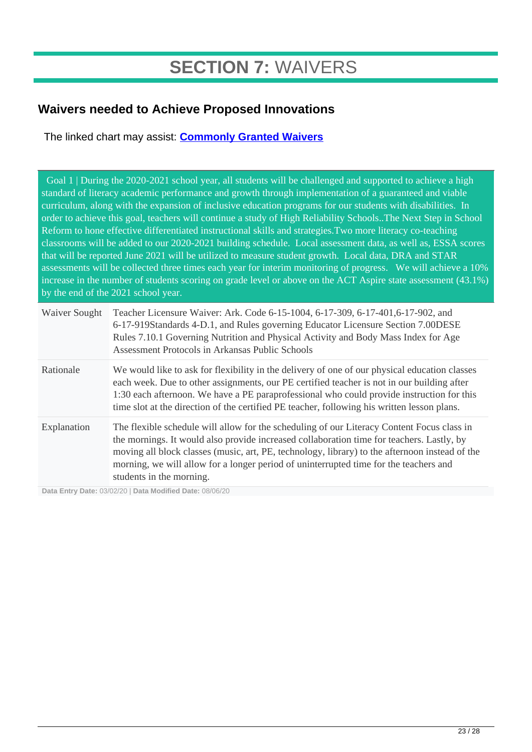## **SECTION 7:** WAIVERS

## **Waivers needed to Achieve Proposed Innovations**

The linked chart may assist: **[Commonly Granted Waivers](http://www.arkansased.gov/public/userfiles/Learning_Services/Charter%20and%20Home%20School/Charter%20School-Division%20of%20Learning%20Services/Applications/Waiver_Document.pdf)**

 Goal 1 | During the 2020-2021 school year, all students will be challenged and supported to achieve a high standard of literacy academic performance and growth through implementation of a guaranteed and viable curriculum, along with the expansion of inclusive education programs for our students with disabilities. In order to achieve this goal, teachers will continue a study of High Reliability Schools..The Next Step in School Reform to hone effective differentiated instructional skills and strategies.Two more literacy co-teaching classrooms will be added to our 2020-2021 building schedule. Local assessment data, as well as, ESSA scores that will be reported June 2021 will be utilized to measure student growth. Local data, DRA and STAR assessments will be collected three times each year for interim monitoring of progress. We will achieve a 10% increase in the number of students scoring on grade level or above on the ACT Aspire state assessment (43.1%) by the end of the 2021 school year.

| Waiver Sought | Teacher Licensure Waiver: Ark. Code 6-15-1004, 6-17-309, 6-17-401, 6-17-902, and<br>6-17-919Standards 4-D.1, and Rules governing Educator Licensure Section 7.00DESE<br>Rules 7.10.1 Governing Nutrition and Physical Activity and Body Mass Index for Age<br>Assessment Protocols in Arkansas Public Schools                                                                                                  |
|---------------|----------------------------------------------------------------------------------------------------------------------------------------------------------------------------------------------------------------------------------------------------------------------------------------------------------------------------------------------------------------------------------------------------------------|
| Rationale     | We would like to ask for flexibility in the delivery of one of our physical education classes<br>each week. Due to other assignments, our PE certified teacher is not in our building after<br>1:30 each afternoon. We have a PE paraprofessional who could provide instruction for this<br>time slot at the direction of the certified PE teacher, following his written lesson plans.                        |
| Explanation   | The flexible schedule will allow for the scheduling of our Literacy Content Focus class in<br>the mornings. It would also provide increased collaboration time for teachers. Lastly, by<br>moving all block classes (music, art, PE, technology, library) to the afternoon instead of the<br>morning, we will allow for a longer period of uninterrupted time for the teachers and<br>students in the morning. |

**Data Entry Date:** 03/02/20 | **Data Modified Date:** 08/06/20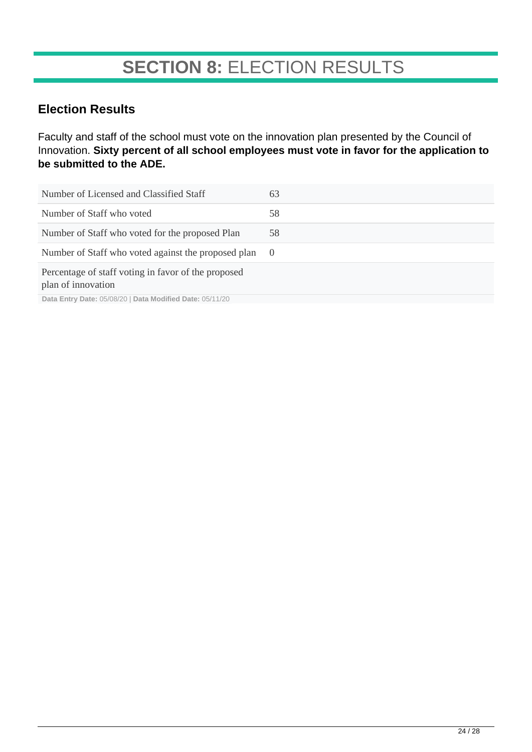## **SECTION 8:** ELECTION RESULTS

### **Election Results**

Faculty and staff of the school must vote on the innovation plan presented by the Council of Innovation. **Sixty percent of all school employees must vote in favor for the application to be submitted to the ADE.**

| Number of Licensed and Classified Staff                                   | 63         |
|---------------------------------------------------------------------------|------------|
| Number of Staff who voted                                                 | 58         |
| Number of Staff who voted for the proposed Plan                           | 58         |
| Number of Staff who voted against the proposed plan                       | $\bigcirc$ |
| Percentage of staff voting in favor of the proposed<br>plan of innovation |            |
| Data Entry Date: 05/08/20   Data Modified Date: 05/11/20                  |            |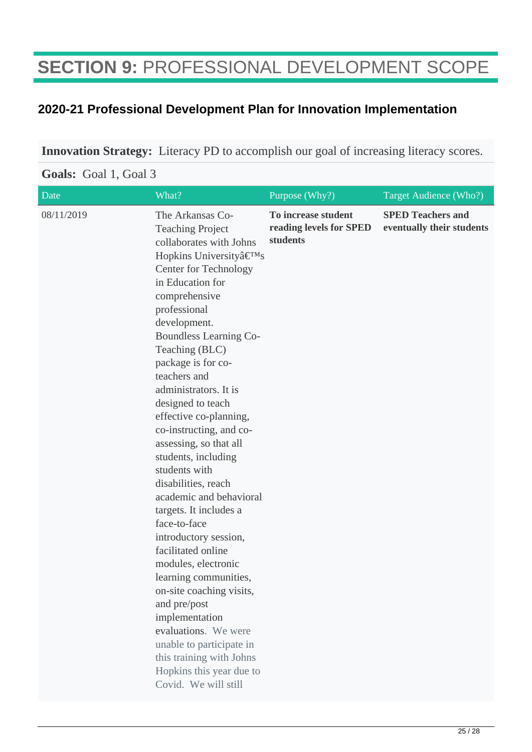## **SECTION 9:** PROFESSIONAL DEVELOPMENT SCOPE

### **2020-21 Professional Development Plan for Innovation Implementation**

**Innovation Strategy:** Literacy PD to accomplish our goal of increasing literacy scores.

#### Date What? What? Purpose (Why?) Target Audience (Who?) 08/11/2019 The Arkansas Co-Teaching Project collaborates with Johns Hopkins University $\hat{a} \in T^{M}S$ Center for Technology in Education for comprehensive professional development. Boundless Learning Co-Teaching (BLC) package is for coteachers and administrators. It is designed to teach effective co-planning, co-instructing, and coassessing, so that all students, including students with disabilities, reach academic and behavioral targets. It includes a face-to-face introductory session, facilitated online modules, electronic learning communities, on-site coaching visits, and pre/post implementation evaluations. We were unable to participate in this training with Johns Hopkins this year due to Covid. We will still **To increase student reading levels for SPED students SPED Teachers and eventually their students**

#### **Goals:** Goal 1, Goal 3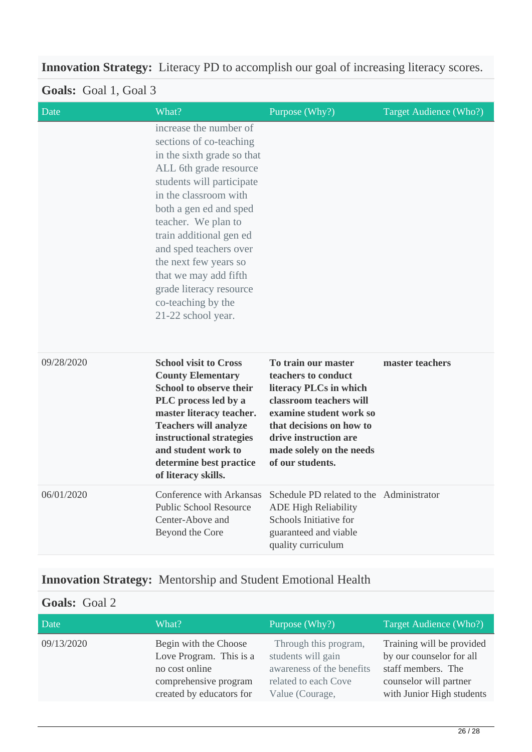## **Innovation Strategy:** Literacy PD to accomplish our goal of increasing literacy scores.

## **Goals:** Goal 1, Goal 3

| Date       | What?                                                                                                                                                                                                                                                                                                                                                                                          | Purpose (Why?)                                                                                                                                                                                                                  | Target Audience (Who?) |
|------------|------------------------------------------------------------------------------------------------------------------------------------------------------------------------------------------------------------------------------------------------------------------------------------------------------------------------------------------------------------------------------------------------|---------------------------------------------------------------------------------------------------------------------------------------------------------------------------------------------------------------------------------|------------------------|
|            | increase the number of<br>sections of co-teaching<br>in the sixth grade so that<br>ALL 6th grade resource<br>students will participate<br>in the classroom with<br>both a gen ed and sped<br>teacher. We plan to<br>train additional gen ed<br>and sped teachers over<br>the next few years so<br>that we may add fifth<br>grade literacy resource<br>co-teaching by the<br>21-22 school year. |                                                                                                                                                                                                                                 |                        |
| 09/28/2020 | <b>School visit to Cross</b><br><b>County Elementary</b><br>School to observe their<br>PLC process led by a<br>master literacy teacher.<br><b>Teachers will analyze</b><br>instructional strategies<br>and student work to<br>determine best practice<br>of literacy skills.                                                                                                                   | To train our master<br>teachers to conduct<br>literacy PLCs in which<br>classroom teachers will<br>examine student work so<br>that decisions on how to<br>drive instruction are<br>made solely on the needs<br>of our students. | master teachers        |
| 06/01/2020 | Conference with Arkansas<br><b>Public School Resource</b><br>Center-Above and<br>Beyond the Core                                                                                                                                                                                                                                                                                               | Schedule PD related to the Administrator<br><b>ADE High Reliability</b><br>Schools Initiative for<br>guaranteed and viable<br>quality curriculum                                                                                |                        |

## **Innovation Strategy:** Mentorship and Student Emotional Health

### **Goals:** Goal 2

| Date       | What?                    | Purpose (Why?)            | Target Audience (Who?)    |
|------------|--------------------------|---------------------------|---------------------------|
| 09/13/2020 | Begin with the Choose    | Through this program,     | Training will be provided |
|            | Love Program. This is a  | students will gain        | by our counselor for all  |
|            | no cost online           | awareness of the benefits | staff members. The        |
|            | comprehensive program    | related to each Cove      | counselor will partner    |
|            | created by educators for | Value (Courage,           | with Junior High students |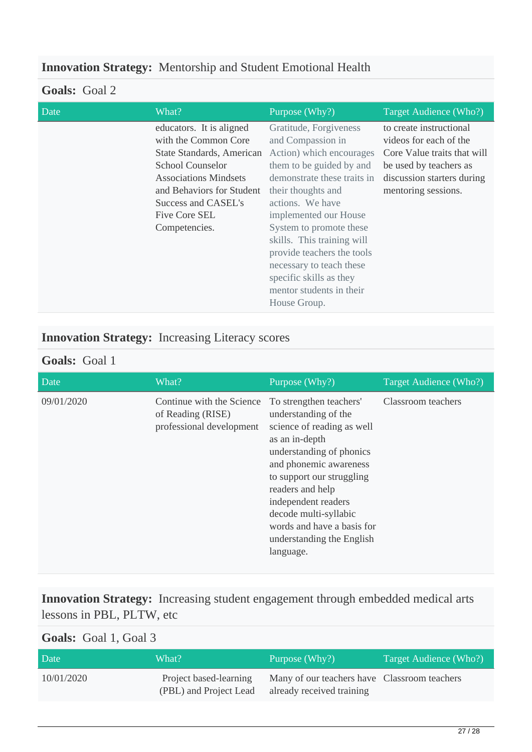## **Innovation Strategy:** Mentorship and Student Emotional Health

### **Goals:** Goal 2

| Date | What?                                                                                                                                                                                                                          | Purpose (Why?)                                                                                                                                                                                                                                                                                                                                                                                  | Target Audience (Who?)                                                                                                                                          |
|------|--------------------------------------------------------------------------------------------------------------------------------------------------------------------------------------------------------------------------------|-------------------------------------------------------------------------------------------------------------------------------------------------------------------------------------------------------------------------------------------------------------------------------------------------------------------------------------------------------------------------------------------------|-----------------------------------------------------------------------------------------------------------------------------------------------------------------|
|      | educators. It is aligned<br>with the Common Core<br>State Standards, American<br><b>School Counselor</b><br><b>Associations Mindsets</b><br>and Behaviors for Student<br>Success and CASEL's<br>Five Core SEL<br>Competencies. | Gratitude, Forgiveness<br>and Compassion in<br>Action) which encourages<br>them to be guided by and<br>demonstrate these traits in<br>their thoughts and<br>actions. We have<br>implemented our House<br>System to promote these<br>skills. This training will<br>provide teachers the tools<br>necessary to teach these<br>specific skills as they<br>mentor students in their<br>House Group. | to create instructional<br>videos for each of the<br>Core Value traits that will<br>be used by teachers as<br>discussion starters during<br>mentoring sessions. |
|      |                                                                                                                                                                                                                                |                                                                                                                                                                                                                                                                                                                                                                                                 |                                                                                                                                                                 |

## **Innovation Strategy:** Increasing Literacy scores

#### **Goals:** Goal 1

| Date       | What?                                                                      | Purpose (Why?)                                                                                                                                                                                                                                                                                                                 | Target Audience (Who?) |
|------------|----------------------------------------------------------------------------|--------------------------------------------------------------------------------------------------------------------------------------------------------------------------------------------------------------------------------------------------------------------------------------------------------------------------------|------------------------|
| 09/01/2020 | Continue with the Science<br>of Reading (RISE)<br>professional development | To strengthen teachers'<br>understanding of the<br>science of reading as well<br>as an in-depth<br>understanding of phonics<br>and phonemic awareness<br>to support our struggling<br>readers and help<br>independent readers<br>decode multi-syllabic<br>words and have a basis for<br>understanding the English<br>language. | Classroom teachers     |

**Innovation Strategy:** Increasing student engagement through embedded medical arts lessons in PBL, PLTW, etc

## **Goals:** Goal 1, Goal 3

| Date       | What?                                            | Purpose (Why?)                                                            | Target Audience (Who?) |
|------------|--------------------------------------------------|---------------------------------------------------------------------------|------------------------|
| 10/01/2020 | Project based-learning<br>(PBL) and Project Lead | Many of our teachers have Classroom teachers<br>already received training |                        |